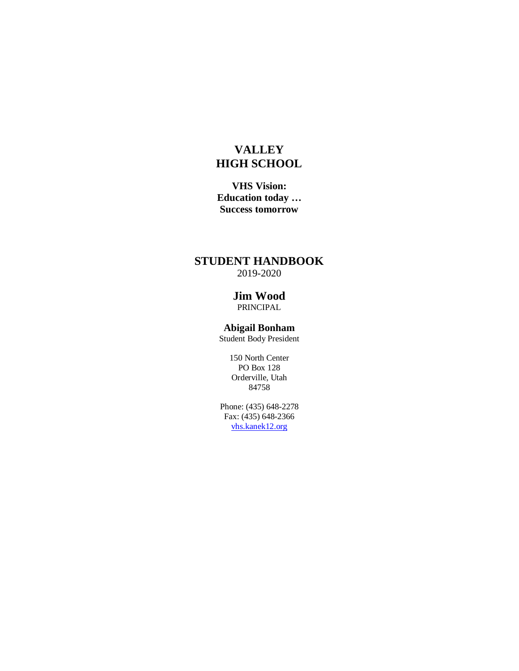# **VALLEY HIGH SCHOOL**

**VHS Vision: Education today … Success tomorrow**

# **STUDENT HANDBOOK** 2019-2020

**Jim Wood** PRINCIPAL

**Abigail Bonham** Student Body President

150 North Center PO Box 128 Orderville, Utah 84758

Phone: (435) 648-2278 Fax: (435) 648-2366 [vhs.kanek12.org](http://www.vhs.kane.k12.ut.us/)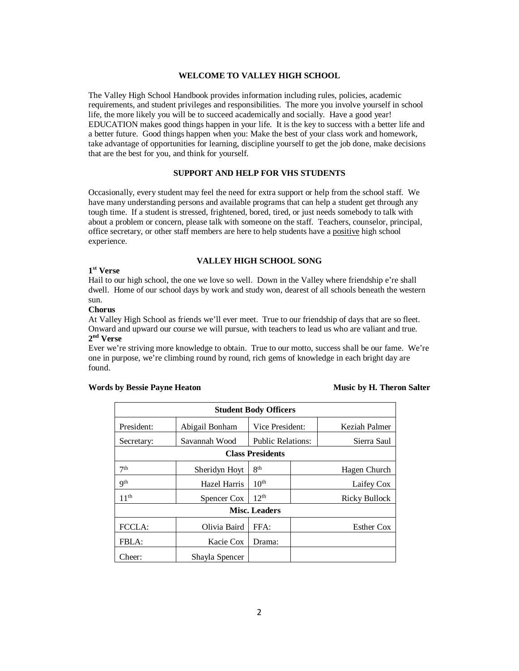#### **WELCOME TO VALLEY HIGH SCHOOL**

The Valley High School Handbook provides information including rules, policies, academic requirements, and student privileges and responsibilities. The more you involve yourself in school life, the more likely you will be to succeed academically and socially. Have a good year! EDUCATION makes good things happen in your life. It is the key to success with a better life and a better future. Good things happen when you: Make the best of your class work and homework, take advantage of opportunities for learning, discipline yourself to get the job done, make decisions that are the best for you, and think for yourself.

# **SUPPORT AND HELP FOR VHS STUDENTS**

Occasionally, every student may feel the need for extra support or help from the school staff. We have many understanding persons and available programs that can help a student get through any tough time. If a student is stressed, frightened, bored, tired, or just needs somebody to talk with about a problem or concern, please talk with someone on the staff. Teachers, counselor, principal, office secretary, or other staff members are here to help students have a positive high school experience.

# **VALLEY HIGH SCHOOL SONG**

#### **1st Verse**

Hail to our high school, the one we love so well. Down in the Valley where friendship e're shall dwell. Home of our school days by work and study won, dearest of all schools beneath the western sun.

# **Chorus**

At Valley High School as friends we'll ever meet. True to our friendship of days that are so fleet. Onward and upward our course we will pursue, with teachers to lead us who are valiant and true. **2nd Verse**

Ever we're striving more knowledge to obtain. True to our motto, success shall be our fame. We're one in purpose, we're climbing round by round, rich gems of knowledge in each bright day are found.

# Words by Bessie Payne Heaton **Music by H. Theron Salter**

| <b>Student Body Officers</b> |                |                          |  |               |  |  |
|------------------------------|----------------|--------------------------|--|---------------|--|--|
| President:                   | Abigail Bonham | Vice President:          |  | Keziah Palmer |  |  |
| Secretary:                   | Savannah Wood  | <b>Public Relations:</b> |  | Sierra Saul   |  |  |
| <b>Class Presidents</b>      |                |                          |  |               |  |  |
| 7 <sup>th</sup>              | Sheridyn Hoyt  | $R^{th}$                 |  | Hagen Church  |  |  |
| <b>Qth</b>                   | Hazel Harris   | 10 <sup>th</sup>         |  | Laifey Cox    |  |  |
| $11^{\text{th}}$             | Spencer Cox    | 12 <sup>th</sup>         |  | Ricky Bullock |  |  |
| <b>Misc. Leaders</b>         |                |                          |  |               |  |  |
| FCCLA:                       | Olivia Baird   | FFA:                     |  | Esther Cox    |  |  |
| FBLA:                        | Kacie Cox      | Drama:                   |  |               |  |  |
| Cheer:                       | Shayla Spencer |                          |  |               |  |  |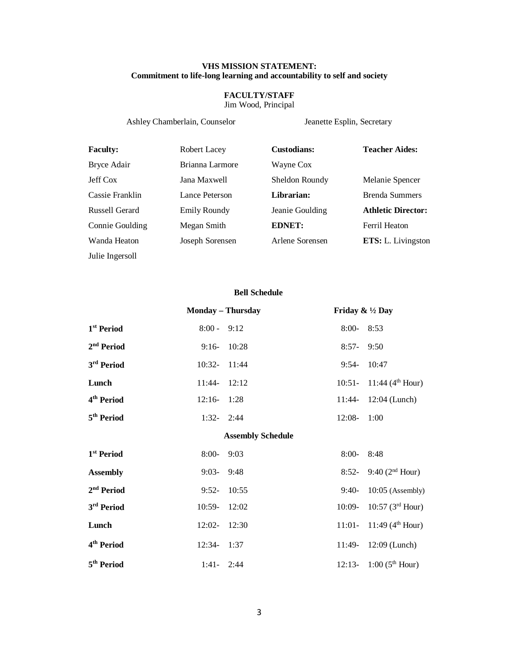# **VHS MISSION STATEMENT: Commitment to life-long learning and accountability to self and society**

# **FACULTY/STAFF**

Jim Wood, Principal

Ashley Chamberlain, Counselor Jeanette Esplin, Secretary

| <b>Faculty:</b> | Robert Lacey    | <b>Custodians:</b> | <b>Teacher Aides:</b>     |
|-----------------|-----------------|--------------------|---------------------------|
| Bryce Adair     | Brianna Larmore | Wayne Cox          |                           |
| Jeff Cox        | Jana Maxwell    | Sheldon Roundy     | Melanie Spencer           |
| Cassie Franklin | Lance Peterson  | Librarian:         | Brenda Summers            |
| Russell Gerard  | Emily Roundy    | Jeanie Goulding    | <b>Athletic Director:</b> |
| Connie Goulding | Megan Smith     | <b>EDNET:</b>      | Ferril Heaton             |
| Wanda Heaton    | Joseph Sorensen | Arlene Sorensen    | ETS: L. Livingston        |
| Julie Ingersoll |                 |                    |                           |

# **Bell Schedule**

|                          |                | $8:00 - 8:53$                                                                                         |                                                        |  |
|--------------------------|----------------|-------------------------------------------------------------------------------------------------------|--------------------------------------------------------|--|
|                          |                | $8:57 - 9:50$                                                                                         |                                                        |  |
|                          |                | $9:54 - 10:47$                                                                                        |                                                        |  |
|                          |                |                                                                                                       | 10:51- 11:44 ( $4th$ Hour)                             |  |
|                          |                |                                                                                                       | 11:44- 12:04 (Lunch)                                   |  |
|                          |                | $12:08 - 1:00$                                                                                        |                                                        |  |
| <b>Assembly Schedule</b> |                |                                                                                                       |                                                        |  |
| $8:00-$                  | 9:03           | $8:00 - 8:48$                                                                                         |                                                        |  |
|                          |                |                                                                                                       |                                                        |  |
|                          | $9:03 - 9:48$  |                                                                                                       | 8:52- 9:40 ( $2nd$ Hour)                               |  |
|                          | $9:52 - 10:55$ | $9:40-$                                                                                               | $10:05$ (Assembly)                                     |  |
| $10:59 - 12:02$          |                | $10:09-$                                                                                              | 10:57(3 <sup>rd</sup> How)                             |  |
| $12:02 - 12:30$          |                |                                                                                                       | 11:01- 11:49 ( $4th$ Hour)                             |  |
|                          |                | $8:00 - 9:12$<br>$9:16 - 10:28$<br>10:32- 11:44<br>$11:44 - 12:12$<br>$12:16 - 1:28$<br>$1:32 - 2:44$ | <b>Monday – Thursday</b><br>Friday & $\frac{1}{2}$ Day |  |

**5<sup>th</sup> Period** 1:41- 2:44 12:13- 1:00 (5<sup>th</sup> Hour)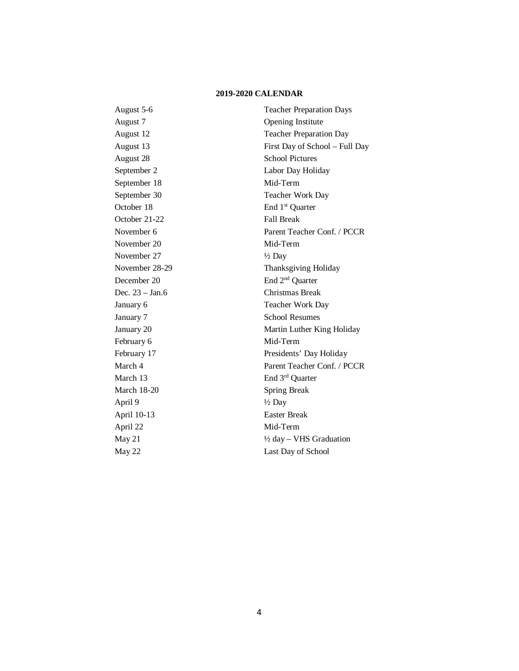# **2019-2020 CALENDAR**

| August 5-6         | <b>Teacher Preparation Days</b>    |
|--------------------|------------------------------------|
| August 7           | Opening Institute                  |
| August 12          | <b>Teacher Preparation Day</b>     |
| August 13          | First Day of School - Full Day     |
| August 28          | <b>School Pictures</b>             |
| September 2        | Labor Day Holiday                  |
| September 18       | Mid-Term                           |
| September 30       | Teacher Work Day                   |
| October 18         | End 1 <sup>st</sup> Quarter        |
| October 21-22      | <b>Fall Break</b>                  |
| November 6         | Parent Teacher Conf. / PCCR        |
| November 20        | Mid-Term                           |
| November 27        | $\frac{1}{2}$ Day                  |
| November 28-29     | Thanksgiving Holiday               |
| December 20        | End 2 <sup>nd</sup> Quarter        |
| Dec. 23 - Jan.6    | Christmas Break                    |
| January 6          | Teacher Work Day                   |
| January 7          | <b>School Resumes</b>              |
| January 20         | Martin Luther King Holiday         |
| February 6         | Mid-Term                           |
| February 17        | Presidents' Day Holiday            |
| March 4            | Parent Teacher Conf. / PCCR        |
| March 13           | End 3rd Quarter                    |
| <b>March 18-20</b> | Spring Break                       |
| April 9            | $\frac{1}{2}$ Day                  |
| April 10-13        | <b>Easter Break</b>                |
| April 22           | Mid-Term                           |
| May 21             | $\frac{1}{2}$ day – VHS Graduation |
| May 22             | Last Day of School                 |
|                    |                                    |

4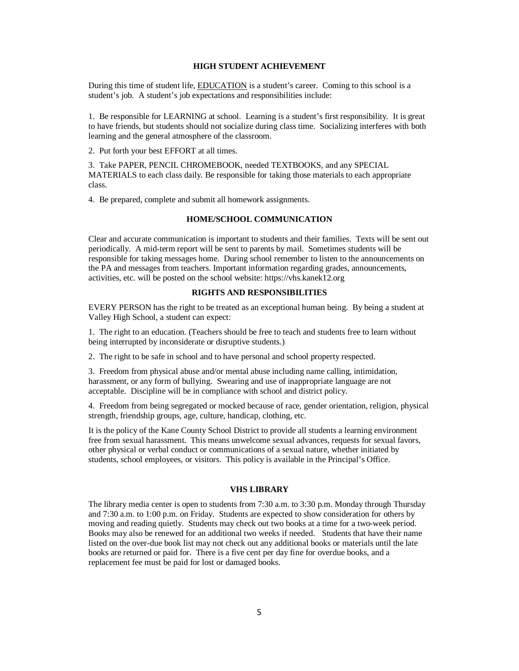# **HIGH STUDENT ACHIEVEMENT**

During this time of student life, **EDUCATION** is a student's career. Coming to this school is a student's job. A student's job expectations and responsibilities include:

1. Be responsible for LEARNING at school. Learning is a student's first responsibility. It is great to have friends, but students should not socialize during class time. Socializing interferes with both learning and the general atmosphere of the classroom.

2. Put forth your best EFFORT at all times.

3. Take PAPER, PENCIL CHROMEBOOK, needed TEXTBOOKS, and any SPECIAL MATERIALS to each class daily. Be responsible for taking those materials to each appropriate class.

4. Be prepared, complete and submit all homework assignments.

# **HOME/SCHOOL COMMUNICATION**

Clear and accurate communication is important to students and their families. Texts will be sent out periodically. A mid-term report will be sent to parents by mail. Sometimes students will be responsible for taking messages home. During school remember to listen to the announcements on the PA and messages from teachers. Important information regarding grades, announcements, activities, etc. will be posted on the school website: https://vhs.kanek12.org

## **RIGHTS AND RESPONSIBILITIES**

EVERY PERSON has the right to be treated as an exceptional human being. By being a student at Valley High School, a student can expect:

1. The right to an education. (Teachers should be free to teach and students free to learn without being interrupted by inconsiderate or disruptive students.)

2. The right to be safe in school and to have personal and school property respected.

3. Freedom from physical abuse and/or mental abuse including name calling, intimidation, harassment, or any form of bullying. Swearing and use of inappropriate language are not acceptable. Discipline will be in compliance with school and district policy.

4. Freedom from being segregated or mocked because of race, gender orientation, religion, physical strength, friendship groups, age, culture, handicap, clothing, etc.

It is the policy of the Kane County School District to provide all students a learning environment free from sexual harassment. This means unwelcome sexual advances, requests for sexual favors, other physical or verbal conduct or communications of a sexual nature, whether initiated by students, school employees, or visitors. This policy is available in the Principal's Office.

#### **VHS LIBRARY**

The library media center is open to students from 7:30 a.m. to 3:30 p.m. Monday through Thursday and 7:30 a.m. to 1:00 p.m. on Friday. Students are expected to show consideration for others by moving and reading quietly. Students may check out two books at a time for a two-week period. Books may also be renewed for an additional two weeks if needed. Students that have their name listed on the over-due book list may not check out any additional books or materials until the late books are returned or paid for. There is a five cent per day fine for overdue books, and a replacement fee must be paid for lost or damaged books.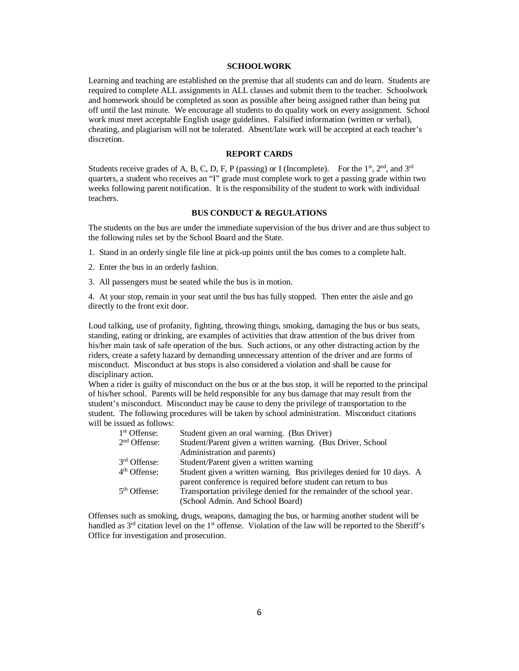# **SCHOOLWORK**

Learning and teaching are established on the premise that all students can and do learn. Students are required to complete ALL assignments in ALL classes and submit them to the teacher. Schoolwork and homework should be completed as soon as possible after being assigned rather than being put off until the last minute. We encourage all students to do quality work on every assignment. School work must meet acceptable English usage guidelines. Falsified information (written or verbal), cheating, and plagiarism will not be tolerated. Absent/late work will be accepted at each teacher's discretion.

#### **REPORT CARDS**

Students receive grades of A, B, C, D, F, P (passing) or I (Incomplete). For the 1<sup>st</sup>, 2<sup>nd</sup>, and 3<sup>rd</sup> quarters, a student who receives an "I" grade must complete work to get a passing grade within two weeks following parent notification. It is the responsibility of the student to work with individual teachers.

#### **BUS CONDUCT & REGULATIONS**

The students on the bus are under the immediate supervision of the bus driver and are thus subject to the following rules set by the School Board and the State.

- 1. Stand in an orderly single file line at pick-up points until the bus comes to a complete halt.
- 2. Enter the bus in an orderly fashion.
- 3. All passengers must be seated while the bus is in motion.

4. At your stop, remain in your seat until the bus has fully stopped. Then enter the aisle and go directly to the front exit door.

Loud talking, use of profanity, fighting, throwing things, smoking, damaging the bus or bus seats, standing, eating or drinking, are examples of activities that draw attention of the bus driver from his/her main task of safe operation of the bus. Such actions, or any other distracting action by the riders, create a safety hazard by demanding unnecessary attention of the driver and are forms of misconduct. Misconduct at bus stops is also considered a violation and shall be cause for disciplinary action.

When a rider is guilty of misconduct on the bus or at the bus stop, it will be reported to the principal of his/her school. Parents will be held responsible for any bus damage that may result from the student's misconduct. Misconduct may be cause to deny the privilege of transportation to the student. The following procedures will be taken by school administration. Misconduct citations will be issued as follows:

| 1 <sup>st</sup> Offense: | Student given an oral warning. (Bus Driver)                           |
|--------------------------|-----------------------------------------------------------------------|
| 2 <sup>nd</sup> Offense: | Student/Parent given a written warning. (Bus Driver, School           |
|                          | Administration and parents)                                           |
| 3 <sup>rd</sup> Offense: | Student/Parent given a written warning                                |
| 4 <sup>th</sup> Offense: | Student given a written warning. Bus privileges denied for 10 days. A |
|                          | parent conference is required before student can return to bus        |
| 5 <sup>th</sup> Offense: | Transportation privilege denied for the remainder of the school year. |
|                          | (School Admin. And School Board)                                      |

Offenses such as smoking, drugs, weapons, damaging the bus, or harming another student will be handled as  $3<sup>rd</sup>$  citation level on the  $1<sup>st</sup>$  offense. Violation of the law will be reported to the Sheriff's Office for investigation and prosecution.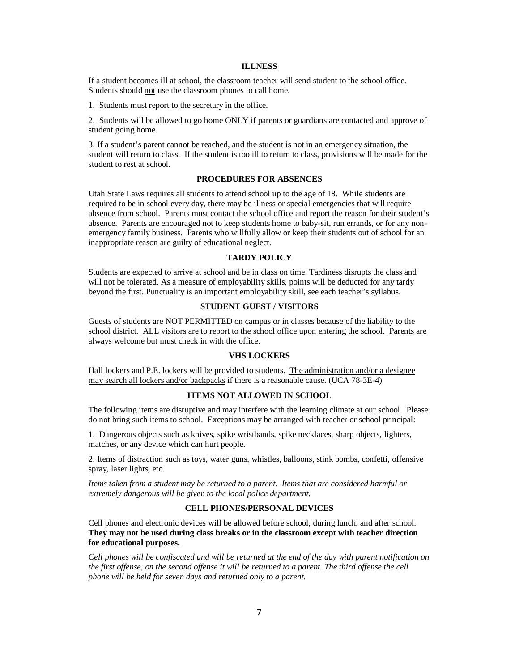#### **ILLNESS**

If a student becomes ill at school, the classroom teacher will send student to the school office. Students should not use the classroom phones to call home.

1. Students must report to the secretary in the office.

2. Students will be allowed to go home **ONLY** if parents or guardians are contacted and approve of student going home.

3. If a student's parent cannot be reached, and the student is not in an emergency situation, the student will return to class. If the student is too ill to return to class, provisions will be made for the student to rest at school.

#### **PROCEDURES FOR ABSENCES**

Utah State Laws requires all students to attend school up to the age of 18. While students are required to be in school every day, there may be illness or special emergencies that will require absence from school. Parents must contact the school office and report the reason for their student's absence. Parents are encouraged not to keep students home to baby-sit, run errands, or for any nonemergency family business. Parents who willfully allow or keep their students out of school for an inappropriate reason are guilty of educational neglect.

#### **TARDY POLICY**

Students are expected to arrive at school and be in class on time. Tardiness disrupts the class and will not be tolerated. As a measure of employability skills, points will be deducted for any tardy beyond the first. Punctuality is an important employability skill, see each teacher's syllabus.

# **STUDENT GUEST / VISITORS**

Guests of students are NOT PERMITTED on campus or in classes because of the liability to the school district. ALL visitors are to report to the school office upon entering the school. Parents are always welcome but must check in with the office.

# **VHS LOCKERS**

Hall lockers and P.E. lockers will be provided to students. The administration and/or a designee may search all lockers and/or backpacks if there is a reasonable cause. (UCA 78-3E-4)

# **ITEMS NOT ALLOWED IN SCHOOL**

The following items are disruptive and may interfere with the learning climate at our school. Please do not bring such items to school. Exceptions may be arranged with teacher or school principal:

1. Dangerous objects such as knives, spike wristbands, spike necklaces, sharp objects, lighters, matches, or any device which can hurt people.

2. Items of distraction such as toys, water guns, whistles, balloons, stink bombs, confetti, offensive spray, laser lights, etc.

*Items taken from a student may be returned to a parent. Items that are considered harmful or extremely dangerous will be given to the local police department.* 

# **CELL PHONES/PERSONAL DEVICES**

Cell phones and electronic devices will be allowed before school, during lunch, and after school. **They may not be used during class breaks or in the classroom except with teacher direction for educational purposes.**

*Cell phones will be confiscated and will be returned at the end of the day with parent notification on the first offense, on the second offense it will be returned to a parent. The third offense the cell phone will be held for seven days and returned only to a parent.*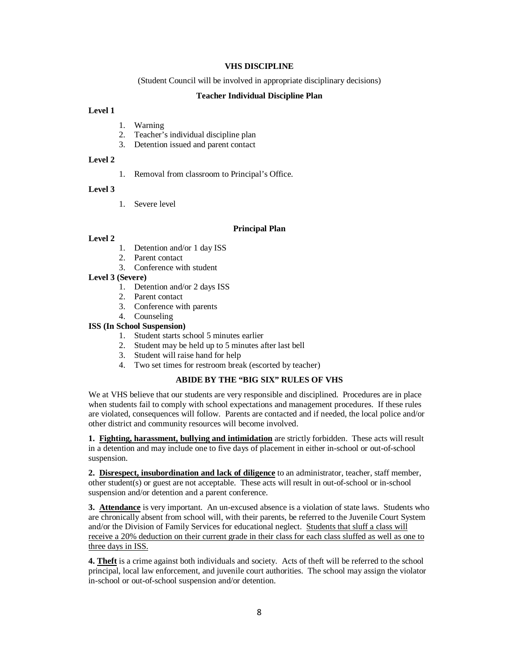## **VHS DISCIPLINE**

(Student Council will be involved in appropriate disciplinary decisions)

#### **Teacher Individual Discipline Plan**

# **Level 1**

- 1. Warning
- 2. Teacher's individual discipline plan
- 3. Detention issued and parent contact

# **Level 2**

1. Removal from classroom to Principal's Office.

#### **Level 3**

1. Severe level

#### **Principal Plan**

#### **Level 2**

- 1. Detention and/or 1 day ISS
- 2. Parent contact
- 3. Conference with student

# **Level 3 (Severe)**

- 1. Detention and/or 2 days ISS
- 2. Parent contact
- 3. Conference with parents
- 4. Counseling

# **ISS (In School Suspension)**

- 1. Student starts school 5 minutes earlier
- 2. Student may be held up to 5 minutes after last bell
- 3. Student will raise hand for help
- 4. Two set times for restroom break (escorted by teacher)

#### **ABIDE BY THE "BIG SIX" RULES OF VHS**

We at VHS believe that our students are very responsible and disciplined. Procedures are in place when students fail to comply with school expectations and management procedures. If these rules are violated, consequences will follow. Parents are contacted and if needed, the local police and/or other district and community resources will become involved.

**1. Fighting, harassment, bullying and intimidation** are strictly forbidden. These acts will result in a detention and may include one to five days of placement in either in-school or out-of-school suspension.

**2. Disrespect, insubordination and lack of diligence** to an administrator, teacher, staff member, other student(s) or guest are not acceptable. These acts will result in out-of-school or in-school suspension and/or detention and a parent conference.

**3. Attendance** is very important. An un-excused absence is a violation of state laws. Students who are chronically absent from school will, with their parents, be referred to the Juvenile Court System and/or the Division of Family Services for educational neglect. Students that sluff a class will receive a 20% deduction on their current grade in their class for each class sluffed as well as one to three days in ISS.

**4. Theft** is a crime against both individuals and society. Acts of theft will be referred to the school principal, local law enforcement, and juvenile court authorities. The school may assign the violator in-school or out-of-school suspension and/or detention.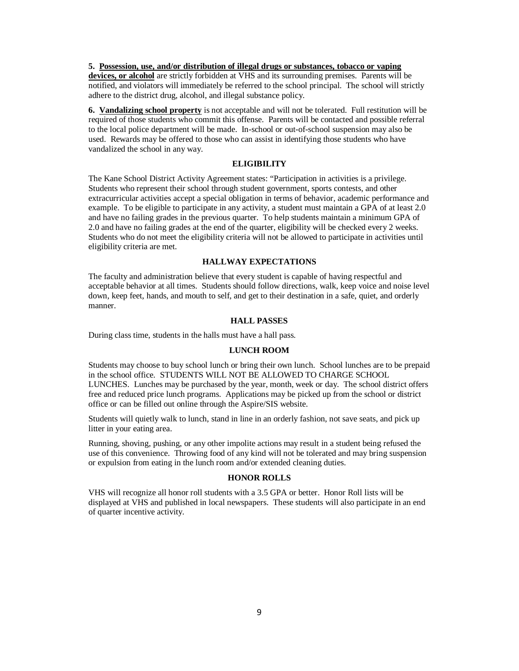# **5. Possession, use, and/or distribution of illegal drugs or substances, tobacco or vaping**

**devices, or alcohol** are strictly forbidden at VHS and its surrounding premises. Parents will be notified, and violators will immediately be referred to the school principal. The school will strictly adhere to the district drug, alcohol, and illegal substance policy.

**6. Vandalizing school property** is not acceptable and will not be tolerated. Full restitution will be required of those students who commit this offense. Parents will be contacted and possible referral to the local police department will be made. In-school or out-of-school suspension may also be used. Rewards may be offered to those who can assist in identifying those students who have vandalized the school in any way.

# **ELIGIBILITY**

The Kane School District Activity Agreement states: "Participation in activities is a privilege. Students who represent their school through student government, sports contests, and other extracurricular activities accept a special obligation in terms of behavior, academic performance and example. To be eligible to participate in any activity, a student must maintain a GPA of at least 2.0 and have no failing grades in the previous quarter. To help students maintain a minimum GPA of 2.0 and have no failing grades at the end of the quarter, eligibility will be checked every 2 weeks. Students who do not meet the eligibility criteria will not be allowed to participate in activities until eligibility criteria are met.

# **HALLWAY EXPECTATIONS**

The faculty and administration believe that every student is capable of having respectful and acceptable behavior at all times. Students should follow directions, walk, keep voice and noise level down, keep feet, hands, and mouth to self, and get to their destination in a safe, quiet, and orderly manner.

#### **HALL PASSES**

During class time, students in the halls must have a hall pass.

#### **LUNCH ROOM**

Students may choose to buy school lunch or bring their own lunch. School lunches are to be prepaid in the school office. STUDENTS WILL NOT BE ALLOWED TO CHARGE SCHOOL LUNCHES. Lunches may be purchased by the year, month, week or day. The school district offers free and reduced price lunch programs. Applications may be picked up from the school or district office or can be filled out online through the Aspire/SIS website.

Students will quietly walk to lunch, stand in line in an orderly fashion, not save seats, and pick up litter in your eating area.

Running, shoving, pushing, or any other impolite actions may result in a student being refused the use of this convenience. Throwing food of any kind will not be tolerated and may bring suspension or expulsion from eating in the lunch room and/or extended cleaning duties.

# **HONOR ROLLS**

VHS will recognize all honor roll students with a 3.5 GPA or better. Honor Roll lists will be displayed at VHS and published in local newspapers. These students will also participate in an end of quarter incentive activity.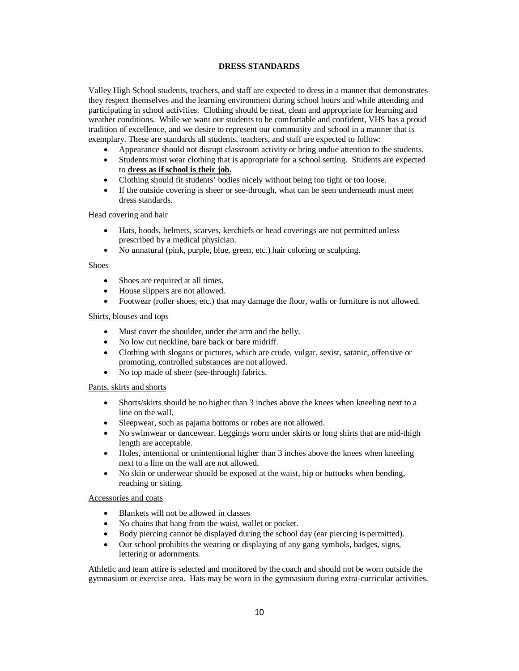# **DRESS STANDARDS**

Valley High School students, teachers, and staff are expected to dress in a manner that demonstrates they respect themselves and the learning environment during school hours and while attending and participating in school activities. Clothing should be neat, clean and appropriate for learning and weather conditions. While we want our students to be comfortable and confident, VHS has a proud tradition of excellence, and we desire to represent our community and school in a manner that is exemplary. These are standards all students, teachers, and staff are expected to follow:

- Appearance should not disrupt classroom activity or bring undue attention to the students.
- Students must wear clothing that is appropriate for a school setting. Students are expected to **dress as if school is their job.**
- Clothing should fit students' bodies nicely without being too tight or too loose.
- If the outside covering is sheer or see-through, what can be seen underneath must meet dress standards.

## Head covering and hair

- Hats, hoods, helmets, scarves, kerchiefs or head coverings are not permitted unless prescribed by a medical physician.
- No unnatural (pink, purple, blue, green, etc.) hair coloring or sculpting.

## Shoes

- Shoes are required at all times.
- House slippers are not allowed.
- Footwear (roller shoes, etc.) that may damage the floor, walls or furniture is not allowed.

# Shirts, blouses and tops

- Must cover the shoulder, under the arm and the belly.
- No low cut neckline, bare back or bare midriff.
- Clothing with slogans or pictures, which are crude, vulgar, sexist, satanic, offensive or promoting, controlled substances are not allowed.
- No top made of sheer (see-through) fabrics.

## Pants, skirts and shorts

- Shorts/skirts should be no higher than 3 inches above the knees when kneeling next to a line on the wall.
- Sleepwear, such as pajama bottoms or robes are not allowed.
- No swimwear or dancewear. Leggings worn under skirts or long shirts that are mid-thigh length are acceptable.
- Holes, intentional or unintentional higher than 3 inches above the knees when kneeling next to a line on the wall are not allowed.
- No skin or underwear should be exposed at the waist, hip or buttocks when bending, reaching or sitting.

## Accessories and coats

- Blankets will not be allowed in classes
- No chains that hang from the waist, wallet or pocket.
- Body piercing cannot be displayed during the school day (ear piercing is permitted).
- Our school prohibits the wearing or displaying of any gang symbols, badges, signs, lettering or adornments.

Athletic and team attire is selected and monitored by the coach and should not be worn outside the gymnasium or exercise area. Hats may be worn in the gymnasium during extra-curricular activities.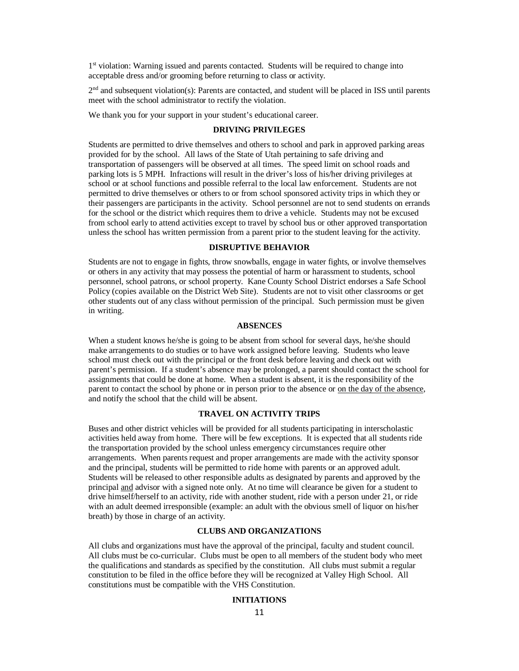1st violation: Warning issued and parents contacted. Students will be required to change into acceptable dress and/or grooming before returning to class or activity.

 $2<sup>nd</sup>$  and subsequent violation(s): Parents are contacted, and student will be placed in ISS until parents meet with the school administrator to rectify the violation.

We thank you for your support in your student's educational career.

# **DRIVING PRIVILEGES**

Students are permitted to drive themselves and others to school and park in approved parking areas provided for by the school. All laws of the State of Utah pertaining to safe driving and transportation of passengers will be observed at all times. The speed limit on school roads and parking lots is 5 MPH. Infractions will result in the driver's loss of his/her driving privileges at school or at school functions and possible referral to the local law enforcement. Students are not permitted to drive themselves or others to or from school sponsored activity trips in which they or their passengers are participants in the activity. School personnel are not to send students on errands for the school or the district which requires them to drive a vehicle. Students may not be excused from school early to attend activities except to travel by school bus or other approved transportation unless the school has written permission from a parent prior to the student leaving for the activity.

# **DISRUPTIVE BEHAVIOR**

Students are not to engage in fights, throw snowballs, engage in water fights, or involve themselves or others in any activity that may possess the potential of harm or harassment to students, school personnel, school patrons, or school property. Kane County School District endorses a Safe School Policy (copies available on the District Web Site). Students are not to visit other classrooms or get other students out of any class without permission of the principal. Such permission must be given in writing.

#### **ABSENCES**

When a student knows he/she is going to be absent from school for several days, he/she should make arrangements to do studies or to have work assigned before leaving. Students who leave school must check out with the principal or the front desk before leaving and check out with parent's permission. If a student's absence may be prolonged, a parent should contact the school for assignments that could be done at home. When a student is absent, it is the responsibility of the parent to contact the school by phone or in person prior to the absence or on the day of the absence, and notify the school that the child will be absent.

## **TRAVEL ON ACTIVITY TRIPS**

Buses and other district vehicles will be provided for all students participating in interscholastic activities held away from home. There will be few exceptions. It is expected that all students ride the transportation provided by the school unless emergency circumstances require other arrangements. When parents request and proper arrangements are made with the activity sponsor and the principal, students will be permitted to ride home with parents or an approved adult. Students will be released to other responsible adults as designated by parents and approved by the principal and advisor with a signed note only. At no time will clearance be given for a student to drive himself/herself to an activity, ride with another student, ride with a person under 21, or ride with an adult deemed irresponsible (example: an adult with the obvious smell of liquor on his/her breath) by those in charge of an activity.

# **CLUBS AND ORGANIZATIONS**

All clubs and organizations must have the approval of the principal, faculty and student council. All clubs must be co-curricular. Clubs must be open to all members of the student body who meet the qualifications and standards as specified by the constitution. All clubs must submit a regular constitution to be filed in the office before they will be recognized at Valley High School. All constitutions must be compatible with the VHS Constitution.

#### **INITIATIONS**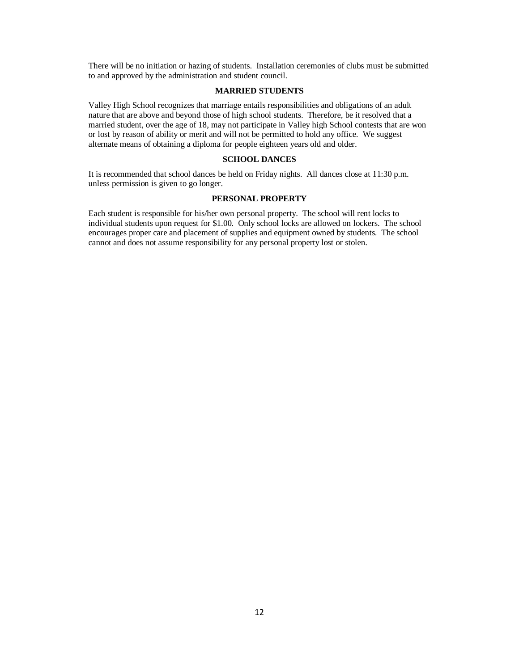There will be no initiation or hazing of students. Installation ceremonies of clubs must be submitted to and approved by the administration and student council.

# **MARRIED STUDENTS**

Valley High School recognizes that marriage entails responsibilities and obligations of an adult nature that are above and beyond those of high school students. Therefore, be it resolved that a married student, over the age of 18, may not participate in Valley high School contests that are won or lost by reason of ability or merit and will not be permitted to hold any office. We suggest alternate means of obtaining a diploma for people eighteen years old and older.

# **SCHOOL DANCES**

It is recommended that school dances be held on Friday nights. All dances close at 11:30 p.m. unless permission is given to go longer.

# **PERSONAL PROPERTY**

Each student is responsible for his/her own personal property. The school will rent locks to individual students upon request for \$1.00. Only school locks are allowed on lockers. The school encourages proper care and placement of supplies and equipment owned by students. The school cannot and does not assume responsibility for any personal property lost or stolen.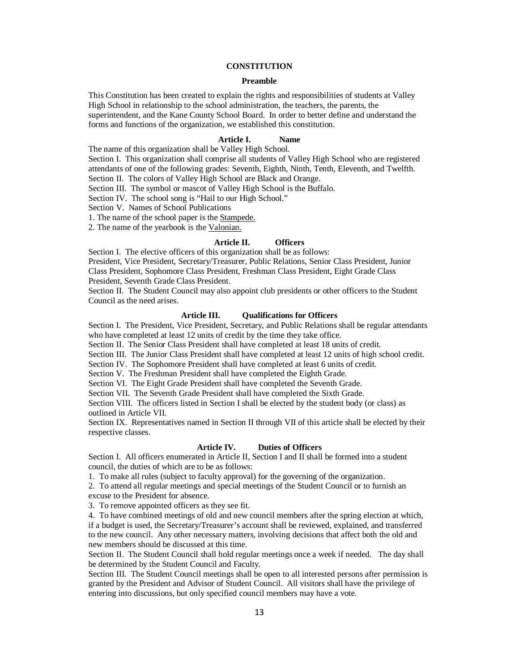# **CONSTITUTION**

#### **Preamble**

This Constitution has been created to explain the rights and responsibilities of students at Valley High School in relationship to the school administration, the teachers, the parents, the superintendent, and the Kane County School Board. In order to better define and understand the forms and functions of the organization, we established this constitution.

# **Article I. Name**

The name of this organization shall be Valley High School.

Section I. This organization shall comprise all students of Valley High School who are registered attendants of one of the following grades: Seventh, Eighth, Ninth, Tenth, Eleventh, and Twelfth. Section II. The colors of Valley High School are Black and Orange.

Section III. The symbol or mascot of Valley High School is the Buffalo.

Section IV. The school song is "Hail to our High School."

Section V. Names of School Publications

1. The name of the school paper is the Stampede.

2. The name of the yearbook is the Valonian.

# **Article II. Officers**

Section I. The elective officers of this organization shall be as follows:

President, Vice President, Secretary/Treasurer, Public Relations, Senior Class President, Junior Class President, Sophomore Class President, Freshman Class President, Eight Grade Class

President, Seventh Grade Class President.

Section II. The Student Council may also appoint club presidents or other officers to the Student Council as the need arises.

#### **Article III. Qualifications for Officers**

Section I. The President, Vice President, Secretary, and Public Relations shall be regular attendants who have completed at least 12 units of credit by the time they take office.

Section II. The Senior Class President shall have completed at least 18 units of credit.

Section III. The Junior Class President shall have completed at least 12 units of high school credit.

Section IV. The Sophomore President shall have completed at least 6 units of credit.

Section V. The Freshman President shall have completed the Eighth Grade.

Section VI. The Eight Grade President shall have completed the Seventh Grade.

Section VII. The Seventh Grade President shall have completed the Sixth Grade.

Section VIII. The officers listed in Section I shall be elected by the student body (or class) as outlined in Article VII.

Section IX. Representatives named in Section II through VII of this article shall be elected by their respective classes.

# **Article IV. Duties of Officers**

Section I. All officers enumerated in Article II, Section I and II shall be formed into a student council, the duties of which are to be as follows:

1. To make all rules (subject to faculty approval) for the governing of the organization.

2. To attend all regular meetings and special meetings of the Student Council or to furnish an excuse to the President for absence.

3. To remove appointed officers as they see fit.

4. To have combined meetings of old and new council members after the spring election at which, if a budget is used, the Secretary/Treasurer's account shall be reviewed, explained, and transferred to the new council. Any other necessary matters, involving decisions that affect both the old and new members should be discussed at this time.

Section II. The Student Council shall hold regular meetings once a week if needed. The day shall be determined by the Student Council and Faculty.

Section III. The Student Council meetings shall be open to all interested persons after permission is granted by the President and Advisor of Student Council. All visitors shall have the privilege of entering into discussions, but only specified council members may have a vote.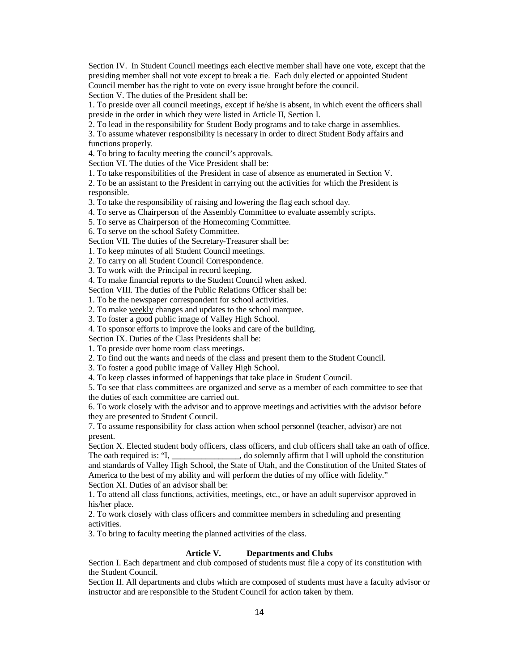Section IV. In Student Council meetings each elective member shall have one vote, except that the presiding member shall not vote except to break a tie. Each duly elected or appointed Student Council member has the right to vote on every issue brought before the council. Section V. The duties of the President shall be:

1. To preside over all council meetings, except if he/she is absent, in which event the officers shall preside in the order in which they were listed in Article II, Section I.

2. To lead in the responsibility for Student Body programs and to take charge in assemblies.

3. To assume whatever responsibility is necessary in order to direct Student Body affairs and functions properly.

4. To bring to faculty meeting the council's approvals.

Section VI. The duties of the Vice President shall be:

1. To take responsibilities of the President in case of absence as enumerated in Section V.

2. To be an assistant to the President in carrying out the activities for which the President is responsible.

3. To take the responsibility of raising and lowering the flag each school day.

4. To serve as Chairperson of the Assembly Committee to evaluate assembly scripts.

5. To serve as Chairperson of the Homecoming Committee.

6. To serve on the school Safety Committee.

Section VII. The duties of the Secretary-Treasurer shall be:

1. To keep minutes of all Student Council meetings.

2. To carry on all Student Council Correspondence.

3. To work with the Principal in record keeping.

4. To make financial reports to the Student Council when asked.

Section VIII. The duties of the Public Relations Officer shall be:

1. To be the newspaper correspondent for school activities.

2. To make weekly changes and updates to the school marquee.

3. To foster a good public image of Valley High School.

4. To sponsor efforts to improve the looks and care of the building.

Section IX. Duties of the Class Presidents shall be:

1. To preside over home room class meetings.

2. To find out the wants and needs of the class and present them to the Student Council.

3. To foster a good public image of Valley High School.

4. To keep classes informed of happenings that take place in Student Council.

5. To see that class committees are organized and serve as a member of each committee to see that the duties of each committee are carried out.

6. To work closely with the advisor and to approve meetings and activities with the advisor before they are presented to Student Council.

7. To assume responsibility for class action when school personnel (teacher, advisor) are not present.

Section X. Elected student body officers, class officers, and club officers shall take an oath of office. The oath required is: "I, \_\_\_\_\_\_\_\_\_\_\_\_, do solemnly affirm that I will uphold the constitution and standards of Valley High School, the State of Utah, and the Constitution of the United States of America to the best of my ability and will perform the duties of my office with fidelity."

Section XI. Duties of an advisor shall be:

1. To attend all class functions, activities, meetings, etc., or have an adult supervisor approved in his/her place.

2. To work closely with class officers and committee members in scheduling and presenting activities.

3. To bring to faculty meeting the planned activities of the class.

#### **Article V. Departments and Clubs**

Section I. Each department and club composed of students must file a copy of its constitution with the Student Council.

Section II. All departments and clubs which are composed of students must have a faculty advisor or instructor and are responsible to the Student Council for action taken by them.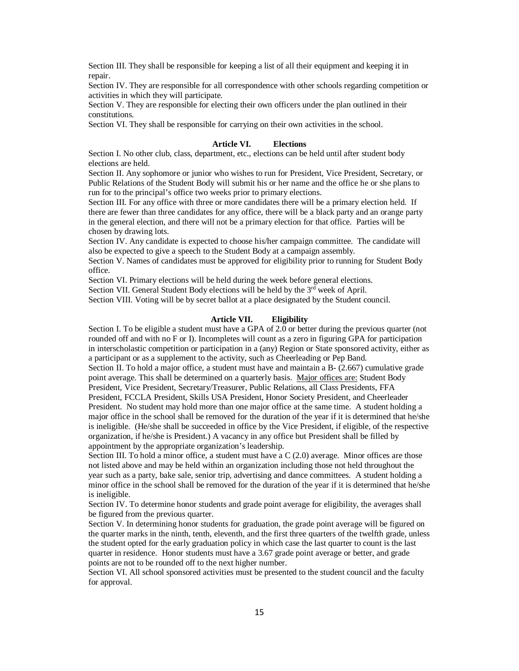Section III. They shall be responsible for keeping a list of all their equipment and keeping it in repair.

Section IV. They are responsible for all correspondence with other schools regarding competition or activities in which they will participate.

Section V. They are responsible for electing their own officers under the plan outlined in their constitutions.

Section VI. They shall be responsible for carrying on their own activities in the school.

#### **Article VI. Elections**

Section I. No other club, class, department, etc., elections can be held until after student body elections are held.

Section II. Any sophomore or junior who wishes to run for President, Vice President, Secretary, or Public Relations of the Student Body will submit his or her name and the office he or she plans to run for to the principal's office two weeks prior to primary elections.

Section III. For any office with three or more candidates there will be a primary election held. If there are fewer than three candidates for any office, there will be a black party and an orange party in the general election, and there will not be a primary election for that office. Parties will be chosen by drawing lots.

Section IV. Any candidate is expected to choose his/her campaign committee. The candidate will also be expected to give a speech to the Student Body at a campaign assembly.

Section V. Names of candidates must be approved for eligibility prior to running for Student Body office.

Section VI. Primary elections will be held during the week before general elections.

Section VII. General Student Body elections will be held by the  $3<sup>rd</sup>$  week of April.

Section VIII. Voting will be by secret ballot at a place designated by the Student council.

#### **Article VII. Eligibility**

Section I. To be eligible a student must have a GPA of 2.0 or better during the previous quarter (not rounded off and with no F or I). Incompletes will count as a zero in figuring GPA for participation in interscholastic competition or participation in a (any) Region or State sponsored activity, either as a participant or as a supplement to the activity, such as Cheerleading or Pep Band.

Section II. To hold a major office, a student must have and maintain a B- (2.667) cumulative grade point average. This shall be determined on a quarterly basis. Major offices are: Student Body President, Vice President, Secretary/Treasurer, Public Relations, all Class Presidents, FFA

President, FCCLA President, Skills USA President, Honor Society President, and Cheerleader President. No student may hold more than one major office at the same time. A student holding a major office in the school shall be removed for the duration of the year if it is determined that he/she is ineligible. (He/she shall be succeeded in office by the Vice President, if eligible, of the respective organization, if he/she is President.) A vacancy in any office but President shall be filled by appointment by the appropriate organization's leadership.

Section III. To hold a minor office, a student must have a C (2.0) average. Minor offices are those not listed above and may be held within an organization including those not held throughout the year such as a party, bake sale, senior trip, advertising and dance committees. A student holding a minor office in the school shall be removed for the duration of the year if it is determined that he/she is ineligible.

Section IV. To determine honor students and grade point average for eligibility, the averages shall be figured from the previous quarter.

Section V. In determining honor students for graduation, the grade point average will be figured on the quarter marks in the ninth, tenth, eleventh, and the first three quarters of the twelfth grade, unless the student opted for the early graduation policy in which case the last quarter to count is the last quarter in residence. Honor students must have a 3.67 grade point average or better, and grade points are not to be rounded off to the next higher number.

Section VI. All school sponsored activities must be presented to the student council and the faculty for approval.